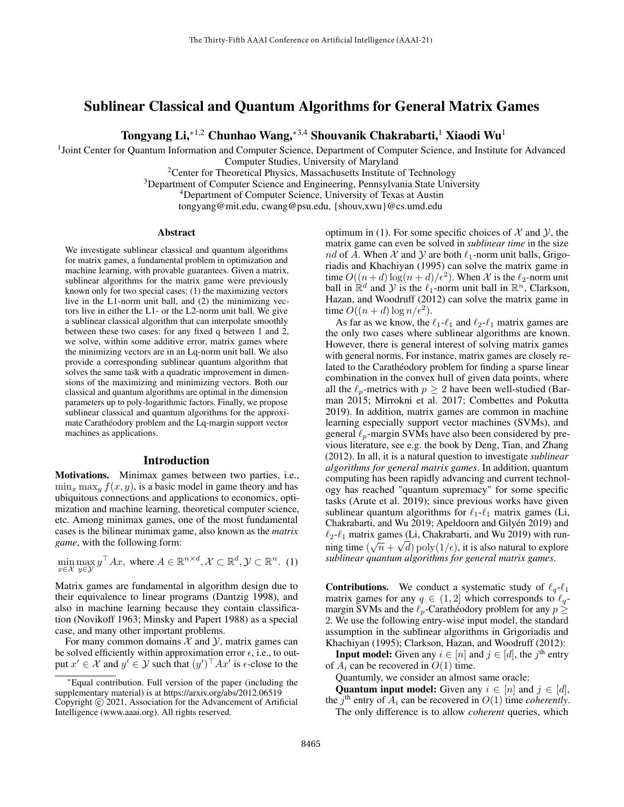# Sublinear Classical and Quantum Algorithms for General Matrix Games

Tongyang Li,<sup>∗1,2</sup> Chunhao Wang,<sup>∗3,4</sup> Shouvanik Chakrabarti,<sup>1</sup> Xiaodi Wu<sup>1</sup>

<sup>1</sup>Joint Center for Quantum Information and Computer Science, Department of Computer Science, and Institute for Advanced

Computer Studies, University of Maryland

<sup>2</sup> Center for Theoretical Physics, Massachusetts Institute of Technology

<sup>3</sup>Department of Computer Science and Engineering, Pennsylvania State University

<sup>4</sup>Department of Computer Science, University of Texas at Austin

tongyang@mit.edu, cwang@psu.edu, {shouv,xwu}@cs.umd.edu

#### Abstract

We investigate sublinear classical and quantum algorithms for matrix games, a fundamental problem in optimization and machine learning, with provable guarantees. Given a matrix, sublinear algorithms for the matrix game were previously known only for two special cases: (1) the maximizing vectors live in the L1-norm unit ball, and (2) the minimizing vectors live in either the L1- or the L2-norm unit ball. We give a sublinear classical algorithm that can interpolate smoothly between these two cases: for any fixed q between 1 and 2, we solve, within some additive error, matrix games where the minimizing vectors are in an Lq-norm unit ball. We also provide a corresponding sublinear quantum algorithm that solves the same task with a quadratic improvement in dimensions of the maximizing and minimizing vectors. Both our classical and quantum algorithms are optimal in the dimension parameters up to poly-logarithmic factors. Finally, we propose sublinear classical and quantum algorithms for the approximate Carathéodory problem and the Lq-margin support vector machines as applications.

### Introduction

Motivations. Minimax games between two parties, i.e.,  $\min_x \max_y f(x, y)$ , is a basic model in game theory and has ubiquitous connections and applications to economics, optimization and machine learning, theoretical computer science, etc. Among minimax games, one of the most fundamental cases is the bilinear minimax game, also known as the *matrix game*, with the following form:

$$
\min_{x \in \mathcal{X}} \max_{y \in \mathcal{Y}} y^\top A x, \text{ where } A \in \mathbb{R}^{n \times d}, \mathcal{X} \subset \mathbb{R}^d, \mathcal{Y} \subset \mathbb{R}^n. (1)
$$

Matrix games are fundamental in algorithm design due to their equivalence to linear programs [\(Dantzig 1998\)](#page-7-0), and also in machine learning because they contain classification [\(Novikoff 1963;](#page-7-1) [Minsky and Papert 1988\)](#page-7-2) as a special case, and many other important problems.

For many common domains  $X$  and  $Y$ , matrix games can be solved efficiently within approximation error  $\epsilon$ , i.e., to output  $x' \in \mathcal{X}$  and  $y' \in \mathcal{Y}$  such that  $(y')^\top A x'$  is  $\epsilon$ -close to the

optimum in [\(1\)](#page-0-0). For some specific choices of  $\mathcal X$  and  $\mathcal Y$ , the matrix game can even be solved in *sublinear time* in the size nd of A. When X and Y are both  $\ell_1$ -norm unit balls, [Grigo](#page-7-3)[riadis and Khachiyan](#page-7-3) [\(1995\)](#page-7-3) can solve the matrix game in time  $O((n+d)\log(n+d)/\epsilon^2)$ . When X is the  $\ell_2$ -norm unit ball in  $\mathbb{R}^d$  and  $\mathcal{Y}$  is the  $\ell_1$ -norm unit ball in  $\mathbb{R}^n$ , [Clarkson,](#page-7-4) [Hazan, and Woodruff](#page-7-4) [\(2012\)](#page-7-4) can solve the matrix game in time  $O((n+d)\log n/\epsilon^2)$ .

As far as we know, the  $\ell_1$ - $\ell_1$  and  $\ell_2$ - $\ell_1$  matrix games are the only two cases where sublinear algorithms are known. However, there is general interest of solving matrix games with general norms. For instance, matrix games are closely related to the Carathéodory problem for finding a sparse linear combination in the convex hull of given data points, where all the  $\ell_p$ -metrics with  $p \geq 2$  have been well-studied [\(Bar](#page-7-5)[man 2015;](#page-7-5) [Mirrokni et al. 2017;](#page-7-6) [Combettes and Pokutta](#page-7-7) [2019\)](#page-7-7). In addition, matrix games are common in machine learning especially support vector machines (SVMs), and general  $\ell_p$ -margin SVMs have also been considered by previous literature, see e.g. the book by [Deng, Tian, and Zhang](#page-7-8) [\(2012\)](#page-7-8). In all, it is a natural question to investigate *sublinear algorithms for general matrix games*. In addition, quantum computing has been rapidly advancing and current technology has reached "quantum supremacy" for some specific tasks [\(Arute et al. 2019\)](#page-7-9); since previous works have given sublinear quantum algorithms for  $\ell_1$ - $\ell_1$  matrix games [\(Li,](#page-7-10) [Chakrabarti, and Wu 2019;](#page-7-10) [Apeldoorn and Gilyén 2019\)](#page-7-11) and  $\ell_2$ - $\ell_1$  matrix games [\(Li, Chakrabarti, and Wu 2019\)](#page-7-10) with running time  $(\sqrt{n} + \sqrt{d})$  poly $(1/\epsilon)$ , it is also natural to explore *sublinear quantum algorithms for general matrix games*.

<span id="page-0-0"></span>**Contributions.** We conduct a systematic study of  $\ell_q$ - $\ell_1$ matrix games for any  $q \in (1, 2]$  which corresponds to  $\ell_q$ margin SVMs and the  $\ell_p$ -Carathéodory problem for any  $p \geq$ 2. We use the following entry-wise input model, the standard assumption in the sublinear algorithms in [Grigoriadis and](#page-7-3) [Khachiyan](#page-7-3) [\(1995\)](#page-7-3); [Clarkson, Hazan, and Woodruff](#page-7-4) [\(2012\)](#page-7-4):

**Input model:** Given any  $i \in [n]$  and  $j \in [d]$ , the  $j^{\text{th}}$  entry of  $A_i$  can be recovered in  $O(1)$  time.

Quantumly, we consider an almost same oracle:

**Quantum input model:** Given any  $i \in [n]$  and  $j \in [d]$ , the  $j<sup>th</sup>$  entry of  $A_i$  can be recovered in  $O(1)$  time *coherently*.

The only difference is to allow *coherent* queries, which

<sup>∗</sup>Equal contribution. Full version of the paper (including the supplementary material) is at https://arxiv.org/abs/2012.06519 Copyright © 2021, Association for the Advancement of Artificial Intelligence (www.aaai.org). All rights reserved.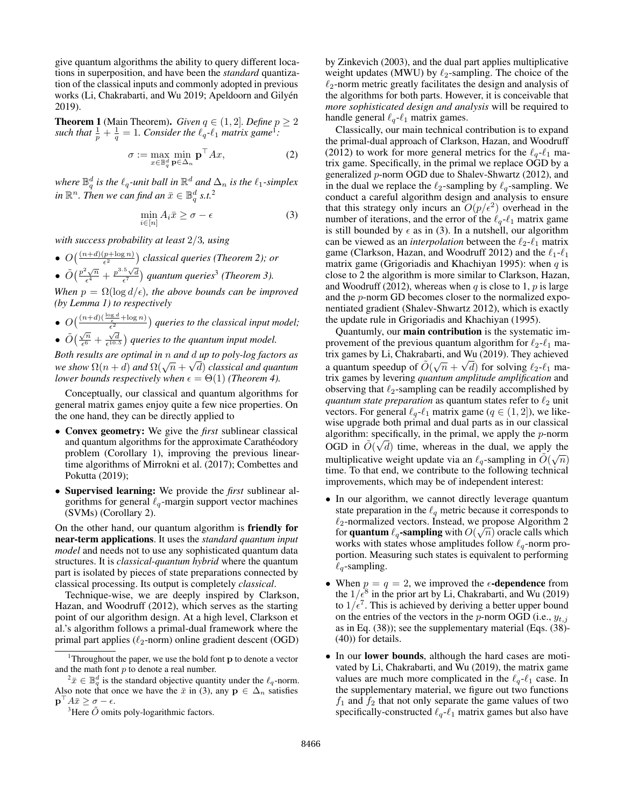give quantum algorithms the ability to query different locations in superposition, and have been the *standard* quantization of the classical inputs and commonly adopted in previous works [\(Li, Chakrabarti, and Wu 2019;](#page-7-10) [Apeldoorn and Gilyén](#page-7-11) [2019\)](#page-7-11).

<span id="page-1-4"></span>**Theorem 1** (Main Theorem). *Given*  $q \in (1, 2]$ *. Define*  $p \ge 2$ such that  $\frac{1}{p} + \frac{1}{q} = 1$  $\frac{1}{p} + \frac{1}{q} = 1$  $\frac{1}{p} + \frac{1}{q} = 1$ . Consider the  $\ell_q$ - $\ell_1$  *matrix game*<sup>1</sup>:

$$
\sigma := \max_{x \in \mathbb{B}_q^d} \min_{\mathbf{p} \in \Delta_n} \mathbf{p}^\top A x,\tag{2}
$$

where  $\mathbb{B}_q^d$  is the  $\ell_q$ -unit ball in  $\mathbb{R}^d$  and  $\Delta_n$  is the  $\ell_1$ -simplex in  $\mathbb{R}^n$ . Then we can find an  $\bar{x}\in\mathbb{B}_q^d$  s.t.<sup>[2](#page-1-1)</sup>

$$
\min_{i \in [n]} A_i \bar{x} \ge \sigma - \epsilon \tag{3}
$$

*with success probability at least* 2/3*, using*

•  $O\left(\frac{(n+d)(p+\log n)}{\epsilon^2}\right)$  classical queries [\(Theorem 2\)](#page-3-0); or  $\phi$   $\tilde{O}\left(\frac{p^2\sqrt{n}}{\epsilon^4}\right)$  $\frac{e^{2}\sqrt{n}}{\epsilon^{4}} + \frac{p^{3.5}\sqrt{d}}{\epsilon^{7}}$  $\frac{e^{2}\sqrt{n}}{\epsilon^{4}} + \frac{p^{3.5}\sqrt{d}}{\epsilon^{7}}$  $\frac{e^{2}\sqrt{n}}{\epsilon^{4}} + \frac{p^{3.5}\sqrt{d}}{\epsilon^{7}}$  quantum queries<sup>3</sup> [\(Theorem 3\)](#page-5-0).

*When*  $p = \Omega(\log d/\epsilon)$ *, the above bounds can be improved (by [Lemma 1\)](#page-2-0) to respectively*

- $O\left(\frac{(n+d)\left(\frac{\log d}{\epsilon} + \log n\right)}{\epsilon^2}\right)$  queries to the classical input model;  $\phi$   $\tilde{O}\left(\frac{\sqrt{n}}{\epsilon^6}\right)$
- $\sqrt{\frac{n}{\epsilon^6}} + \frac{\sqrt{d}}{\epsilon^{10.5}}$  queries to the quantum input model.

*Both results are optimal in* n *and* d *up to poly-log factors as* √ *we show*  $\Omega(n+d)$  *and*  $\Omega(\sqrt{n} + \sqrt{d})$  *classical and quantum lower bounds respectively when*  $\epsilon = \Theta(1)$  *[\(Theorem 4\)](#page-6-0).* 

Conceptually, our classical and quantum algorithms for general matrix games enjoy quite a few nice properties. On the one hand, they can be directly applied to

- Convex geometry: We give the *first* sublinear classical and quantum algorithms for the approximate Carathéodory problem [\(Corollary 1\)](#page-5-1), improving the previous lineartime algorithms of [Mirrokni et al.](#page-7-6) [\(2017\)](#page-7-6); [Combettes and](#page-7-7) [Pokutta](#page-7-7) [\(2019\)](#page-7-7);
- Supervised learning: We provide the *first* sublinear algorithms for general  $\ell_q$ -margin support vector machines (SVMs) [\(Corollary 2\)](#page-6-1).

On the other hand, our quantum algorithm is friendly for near-term applications. It uses the *standard quantum input model* and needs not to use any sophisticated quantum data structures. It is *classical-quantum hybrid* where the quantum part is isolated by pieces of state preparations connected by classical processing. Its output is completely *classical*.

Technique-wise, we are deeply inspired by [Clarkson,](#page-7-4) [Hazan, and Woodruff](#page-7-4) [\(2012\)](#page-7-4), which serves as the starting point of our algorithm design. At a high level, Clarkson et al.'s algorithm follows a primal-dual framework where the primal part applies ( $\ell_2$ -norm) online gradient descent (OGD)

by [Zinkevich](#page-8-0) [\(2003\)](#page-8-0), and the dual part applies multiplicative weight updates (MWU) by  $\ell_2$ -sampling. The choice of the  $\ell_2$ -norm metric greatly facilitates the design and analysis of the algorithms for both parts. However, it is conceivable that *more sophisticated design and analysis* will be required to handle general  $\ell_q$ - $\ell_1$  matrix games.

<span id="page-1-5"></span><span id="page-1-3"></span>Classically, our main technical contribution is to expand the primal-dual approach of [Clarkson, Hazan, and Woodruff](#page-7-4) [\(2012\)](#page-7-4) to work for more general metrics for the  $\ell_a$ - $\ell_1$  matrix game. Specifically, in the primal we replace OGD by a generalized p-norm OGD due to [Shalev-Shwartz](#page-8-1) [\(2012\)](#page-8-1), and in the dual we replace the  $\ell_2$ -sampling by  $\ell_q$ -sampling. We conduct a careful algorithm design and analysis to ensure that this strategy only incurs an  $O(p/\epsilon^2)$  overhead in the number of iterations, and the error of the  $\ell_q$ - $\ell_1$  matrix game is still bounded by  $\epsilon$  as in [\(3\)](#page-1-3). In a nutshell, our algorithm can be viewed as an *interpolation* between the  $\ell_2$ - $\ell_1$  matrix game [\(Clarkson, Hazan, and Woodruff 2012\)](#page-7-4) and the  $\ell_1$ - $\ell_1$ matrix game [\(Grigoriadis and Khachiyan 1995\)](#page-7-3): when  $q$  is close to 2 the algorithm is more similar to [Clarkson, Hazan,](#page-7-4) [and Woodruff](#page-7-4) [\(2012\)](#page-7-4), whereas when q is close to 1, p is large and the p-norm GD becomes closer to the normalized exponentiated gradient [\(Shalev-Shwartz 2012\)](#page-8-1), which is exactly the update rule in [Grigoriadis and Khachiyan](#page-7-3) [\(1995\)](#page-7-3).

Quantumly, our main contribution is the systematic improvement of the previous quantum algorithm for  $\ell_2-\ell_1$  ma-trix games by [Li, Chakrabarti, and Wu](#page-7-10) [\(2019\)](#page-7-10). They achieved a quantum speedup of  $\tilde{O}(\sqrt{n} + \sqrt{d})$  for solving  $\ell_2 \text{-} \ell_1$  matrix games by levering *quantum amplitude amplification* and observing that  $\ell_2$ -sampling can be readily accomplished by *quantum state preparation* as quantum states refer to  $\ell_2$  unit vectors. For general  $\ell_q$ - $\ell_1$  matrix game ( $q \in (1, 2]$ ), we likewise upgrade both primal and dual parts as in our classical algorithm: specifically, in the primal, we apply the *p*-norm OGD in  $\tilde{O}(\sqrt{d})$  time, whereas in the dual, we apply the multiplicative weight update via an  $\ell_q$ -sampling in  $\tilde{O}(\sqrt{n})$ time. To that end, we contribute to the following technical improvements, which may be of independent interest:

- In our algorithm, we cannot directly leverage quantum state preparation in the  $\ell_q$  metric because it corresponds to  $\ell_2$ -normalized vectors. Instead, we propose [Algorithm 2](#page-5-2) for **quantum**  $\ell_q$ -sampling with  $O(\sqrt{n})$  oracle calls which works with states whose amplitudes follow  $\ell_q$ -norm proportion. Measuring such states is equivalent to performing  $\ell_q$ -sampling.
- When  $p = q = 2$ , we improved the  $\epsilon$ -dependence from the  $1/\epsilon^8$  in the prior art by [Li, Chakrabarti, and Wu](#page-7-10) [\(2019\)](#page-7-10) to  $1/\epsilon^7$ . This is achieved by deriving a better upper bound on the entries of the vectors in the p-norm OGD (i.e.,  $y_{t,j}$ ) as in Eq. (38)); see the supplementary material (Eqs. (38)- (40)) for details.
- In our lower bounds, although the hard cases are motivated by [Li, Chakrabarti, and Wu](#page-7-10) [\(2019\)](#page-7-10), the matrix game values are much more complicated in the  $\ell_q$ - $\ell_1$  case. In the supplementary material, we figure out two functions  $f_1$  and  $f_2$  that not only separate the game values of two specifically-constructed  $\ell_q$ - $\ell_1$  matrix games but also have

<span id="page-1-0"></span><sup>&</sup>lt;sup>1</sup>Throughout the paper, we use the bold font  $\bf{p}$  to denote a vector and the math font  $p$  to denote a real number.

<span id="page-1-1"></span> $e^2 \bar{x} \in \mathbb{B}_q^d$  is the standard objective quantity under the  $\ell_q$ -norm. Also note that once we have the  $\bar{x}$  in [\(3\)](#page-1-3), any  $\mathbf{p} \in \Delta_n$  satisfies  $\mathbf{p}^\top A \bar{x} \geq \sigma - \epsilon.$ 

<span id="page-1-2"></span><sup>&</sup>lt;sup>3</sup>Here  $\tilde{O}$  omits poly-logarithmic factors.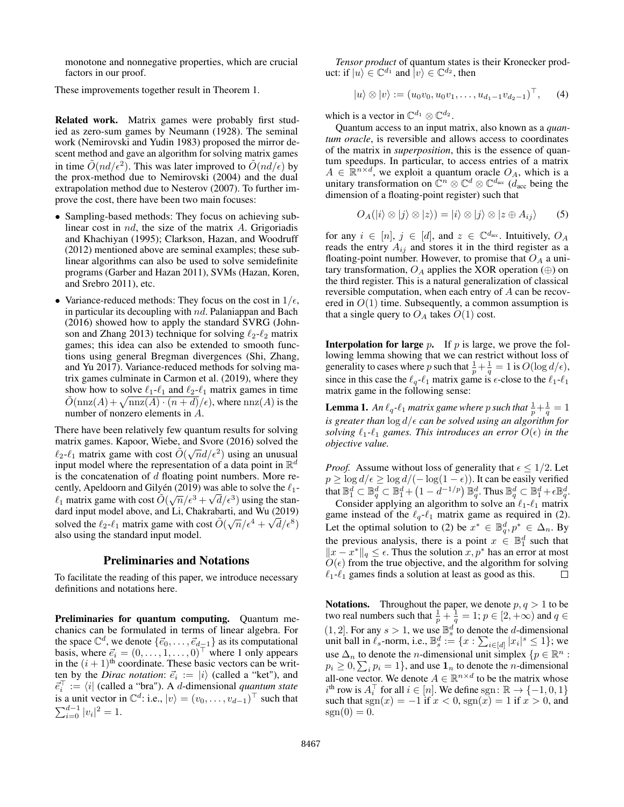monotone and nonnegative properties, which are crucial factors in our proof.

These improvements together result in [Theorem 1.](#page-1-4)

Related work. Matrix games were probably first studied as zero-sum games by [Neumann](#page-7-12) [\(1928\)](#page-7-12). The seminal work [\(Nemirovski and Yudin 1983\)](#page-7-13) proposed the mirror descent method and gave an algorithm for solving matrix games in time  $\tilde{O}(nd/\epsilon^2)$ . This was later improved to  $\tilde{O}(nd/\epsilon)$  by the prox-method due to [Nemirovski](#page-7-14) [\(2004\)](#page-7-14) and the dual extrapolation method due to [Nesterov](#page-7-15) [\(2007\)](#page-7-15). To further improve the cost, there have been two main focuses:

- Sampling-based methods: They focus on achieving sublinear cost in  $nd$ , the size of the matrix  $A$ . [Grigoriadis](#page-7-3) [and Khachiyan](#page-7-3) [\(1995\)](#page-7-3); [Clarkson, Hazan, and Woodruff](#page-7-4) [\(2012\)](#page-7-4) mentioned above are seminal examples; these sublinear algorithms can also be used to solve semidefinite programs [\(Garber and Hazan 2011\)](#page-7-16), SVMs [\(Hazan, Koren,](#page-7-17) [and Srebro 2011\)](#page-7-17), etc.
- Variance-reduced methods: They focus on the cost in  $1/\epsilon$ , in particular its decoupling with  $nd$ . [Palaniappan and Bach](#page-7-18) [\(2016\)](#page-7-18) showed how to apply the standard SVRG [\(John](#page-7-19)[son and Zhang 2013\)](#page-7-19) technique for solving  $\ell_2$ - $\ell_2$  matrix games; this idea can also be extended to smooth functions using general Bregman divergences [\(Shi, Zhang,](#page-8-2) [and Yu 2017\)](#page-8-2). Variance-reduced methods for solving matrix games culminate in [Carmon et al.](#page-7-20) [\(2019\)](#page-7-20), where they show how to solve  $\ell_1-\ell_1$  and  $\ell_2-\ell_1$  matrix games in time  $\tilde{O}(\text{nnz}(A) + \sqrt{\text{nnz}(A) \cdot (n + d)}/\epsilon)$ , where  $\text{nnz}(A)$  is the number of nonzero elements in A.

There have been relatively few quantum results for solving matrix games. [Kapoor, Wiebe, and Svore](#page-7-21) [\(2016\)](#page-7-21) solved the  $\ell_2$ - $\ell_1$  matrix game with cost  $\tilde{O}(\sqrt{n}d/\epsilon^2)$  using an unusual input model where the representation of a data point in  $\mathbb{R}^d$ is the concatenation of  $d$  floating point numbers. More re-cently, [Apeldoorn and Gilyén](#page-7-11) [\(2019\)](#page-7-11) was able to solve the  $\ell_1$ - $\ell_1$  matrix game with cost  $\tilde{O}(\sqrt{n}/\epsilon^3 + \sqrt{d}/\epsilon^3)$  using the stan-dard input model above, and [Li, Chakrabarti, and Wu](#page-7-10) [\(2019\)](#page-7-10) solved the  $\ell_2$ - $\ell_1$  matrix game with cost  $\tilde{O}(\sqrt{n}/\epsilon^4 + \sqrt{d}/\epsilon^8)$ also using the standard input model.

### Preliminaries and Notations

To facilitate the reading of this paper, we introduce necessary definitions and notations here.

Preliminaries for quantum computing. Quantum mechanics can be formulated in terms of linear algebra. For the space  $\mathbb{C}^d$ , we denote  $\{\vec{e}_0, \ldots, \vec{e}_{d-1}\}$  as its computational basis, where  $\vec{e}_i = (0, \dots, 1, \dots, 0)^\top$  where 1 only appears in the  $(i + 1)$ <sup>th</sup> coordinate. These basic vectors can be written by the *Dirac notation*:  $\vec{e}_i := |i\rangle$  (called a "ket"), and  $\vec{e}_i^{\top} := \langle i |$  (called a "bra"). A *d*-dimensional *quantum state* is a unit vector in  $\mathbb{C}^d$ : i.e.,  $|v\rangle = (v_0, \dots, v_{d-1})^\top$  such that  $\sum_{i=0}^{d-1} |v_i|^2 = 1.$ 

*Tensor product* of quantum states is their Kronecker product: if  $|u\rangle \in \mathbb{C}^{d_1}$  and  $|v\rangle \in \mathbb{C}^{d_2}$ , then

$$
|u\rangle \otimes |v\rangle := (u_0v_0, u_0v_1, \dots, u_{d_1-1}v_{d_2-1})^{\top}, \quad (4)
$$

which is a vector in  $\mathbb{C}^{d_1} \otimes \mathbb{C}^{d_2}$ .

Quantum access to an input matrix, also known as a *quantum oracle*, is reversible and allows access to coordinates of the matrix in *superposition*, this is the essence of quantum speedups. In particular, to access entries of a matrix  $A \in \mathbb{R}^{n \times d}$ , we exploit a quantum oracle  $O_A$ , which is a unitary transformation on  $\mathbb{C}^n \otimes \mathbb{C}^d \otimes \mathbb{C}^{d_{\text{acc}}}$  ( $\overline{d}_{\text{acc}}$  being the dimension of a floating-point register) such that

$$
O_A(|i\rangle \otimes |j\rangle \otimes |z\rangle) = |i\rangle \otimes |j\rangle \otimes |z \oplus A_{ij}\rangle \qquad (5)
$$

for any  $i \in [n], j \in [d]$ , and  $z \in \mathbb{C}^{d_{\text{acc}}}$ . Intuitively,  $O_A$ reads the entry  $A_{ij}$  and stores it in the third register as a floating-point number. However, to promise that  $O<sub>A</sub>$  a unitary transformation,  $O_A$  applies the XOR operation (⊕) on the third register. This is a natural generalization of classical reversible computation, when each entry of A can be recovered in  $O(1)$  time. Subsequently, a common assumption is that a single query to  $O_A$  takes  $O(1)$  cost.

**Interpolation for large**  $p$ . If  $p$  is large, we prove the following lemma showing that we can restrict without loss of generality to cases where p such that  $\frac{1}{p} + \frac{1}{q} = 1$  is  $O(\log d/\epsilon)$ , since in this case the  $\ell_q$ - $\ell_1$  matrix game is  $\epsilon$ -close to the  $\ell_1$ - $\ell_1$ matrix game in the following sense:

<span id="page-2-0"></span>**Lemma 1.** An  $\ell_q$ - $\ell_1$  matrix game where p such that  $\frac{1}{p} + \frac{1}{q} = 1$ *is greater than* log d/ *can be solved using an algorithm for solving*  $\ell_1$ - $\ell_1$  *games. This introduces an error*  $O(\epsilon)$  *in the objective value.*

*Proof.* Assume without loss of generality that  $\epsilon \leq 1/2$ . Let  $p \ge \log d/\epsilon \ge \log d/(-\log(1-\epsilon))$ . It can be easily verified that  $\mathbb{B}_1^d \subset \mathbb{B}_q^d \subset \mathbb{B}_1^d + \left(1 - d^{-1/p}\right) \mathbb{B}_q^d$ . Thus  $\mathbb{B}_q^d \subset \mathbb{B}_1^d + \epsilon \mathbb{B}_q^d$ .

Consider applying an algorithm to solve an  $\ell_1$ - $\ell_1$  matrix game instead of the  $\ell_q$ - $\ell_1$  matrix game as required in [\(2\)](#page-1-5). Let the optimal solution to [\(2\)](#page-1-5) be  $x^* \in \mathbb{B}_q^d, p^* \in \Delta_n$ . By the previous analysis, there is a point  $x \in \mathbb{B}_1^d$  such that  $||x - x^*||_q \leq \epsilon$ . Thus the solution  $x, p^*$  has an error at most  $O(\epsilon)$  from the true objective, and the algorithm for solving  $\ell_1$ - $\ell_1$  games finds a solution at least as good as this. П

**Notations.** Throughout the paper, we denote  $p, q > 1$  to be two real numbers such that  $\frac{1}{p} + \frac{1}{q} = 1$ ;  $p \in [2, +\infty)$  and  $q \in$  $(1, 2]$ . For any  $s > 1$ , we use  $\mathbb{B}_s^d$  to denote the *d*-dimensional unit ball in  $\ell_s$ -norm, i.e.,  $\mathbb{B}_s^d := \{x : \sum_{i \in [d]} |x_i|^s \leq 1\}$ ; we use  $\Delta_n$  to denote the *n*-dimensional unit simplex  $\{p \in \mathbb{R}^n :$  $p_i \geq 0$ ,  $\sum_i p_i = 1$ , and use  $\mathbf{1}_n$  to denote the *n*-dimensional all-one vector. We denote  $A \in \mathbb{R}^{n \times d}$  to be the matrix whose  $i^{\text{th}}$  row is  $A_i^{\top}$  for all  $i \in [n]$ . We define sgn:  $\mathbb{R} \to \{-1, 0, 1\}$ such that  $sgn(x) = -1$  if  $x < 0$ ,  $sgn(x) = 1$  if  $x > 0$ , and  $sgn(0) = 0.$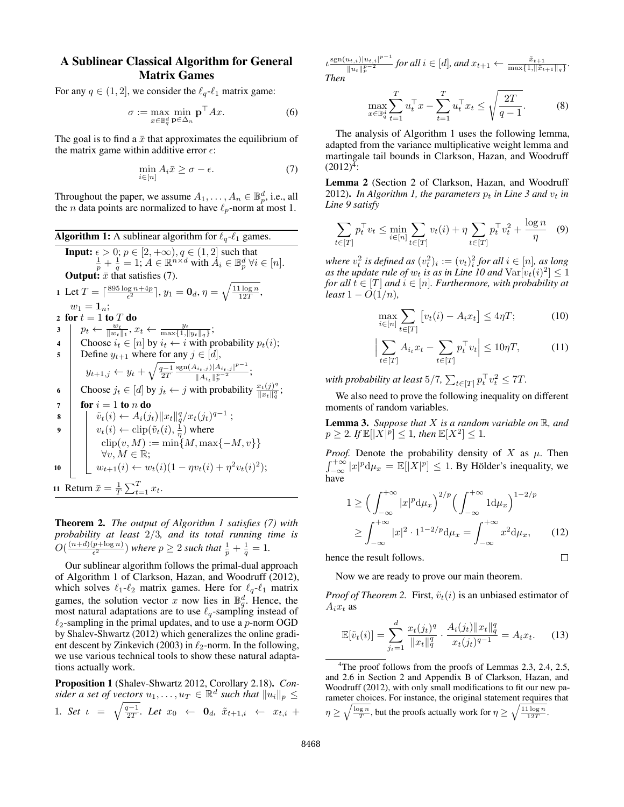# A Sublinear Classical Algorithm for General Matrix Games

For any  $q \in (1, 2]$ , we consider the  $\ell_q$ - $\ell_1$  matrix game:

$$
\sigma := \max_{x \in \mathbb{B}_q^d} \min_{\mathbf{p} \in \Delta_n} \mathbf{p}^\top A x. \tag{6}
$$

The goal is to find a  $\bar{x}$  that approximates the equilibrium of the matrix game within additive error  $\epsilon$ :

$$
\min_{i \in [n]} A_i \bar{x} \ge \sigma - \epsilon. \tag{7}
$$

Throughout the paper, we assume  $A_1, \ldots, A_n \in \mathbb{B}_p^d$ , i.e., all the *n* data points are normalized to have  $\ell_p$ -norm at most 1.

<span id="page-3-4"></span>Algorithm 1: A sublinear algorithm for 
$$
\ell_q
$$
- $\ell_1$  games.  
\nInput:  $\epsilon > 0$ ;  $p \in [2, +\infty), q \in (1, 2]$  such that  
\n $\frac{1}{p} + \frac{1}{q} = 1$ ;  $A \in \mathbb{R}^{n \times d}$  with  $A_i \in \mathbb{B}_p^d$   $\forall i \in [n]$ .  
\nOutput:  $\bar{x}$  that satisfies (7).  
\n1 Let  $T = \lceil \frac{895 \log n + 4p}{\epsilon^2} \rceil$ ,  $y_1 = \mathbf{0}_d$ ,  $\eta = \sqrt{\frac{11 \log n}{12T}}$ ,  
\n $w_1 = 1_n$ ;  
\n2 for  $t = 1$  to  $T$  do  
\n3  $p_t \leftarrow \frac{w_t}{\|w_t\|_1}$ ,  $x_t \leftarrow \frac{y_t}{\max\{1, \|y_t\|_q\}}$ ;  
\n4  $\begin{array}{c} \text{Choose } i_t \in [n] \text{ by } i_t \leftarrow i \text{ with probability } p_t(i); \\ \text{Define } y_{t+1} \text{ where for any } j \in [d], \\ y_{t+1,j} \leftarrow y_t + \sqrt{\frac{q-1}{2T}} \frac{\text{sgn}(A_{i_t,j})|A_{i_t,j}|^{p-1}}{\|A_{i_t}\|_p^{p-2}}; \\ \text{Choose } j_t \in [d] \text{ by } j_t \leftarrow j \text{ with probability } \frac{x_t(j)^q}{\|x_t\|_q^q}; \\ \text{for } i = 1 \text{ to } n \text{ do} \\ \delta \quad \qquad \begin{array}{c} \tilde{v}_t(i) \leftarrow A_i(j_t) \|x_t\|_q^q / x_t(j_t)^{q-1} \text{ ;} \\ v_t(i) \leftarrow \text{clip}(\tilde{v}_t(i), \frac{1}{\eta}) \text{ where} \\ \text{clip}(v, M) := \min\{M, \max\{-M, v\}\} \\ \forall v, M \in \mathbb{R}; \\ w_{t+1}(i) \leftarrow w_t(i)(1 - \eta v_t(i) + \eta^2 v_t(i)^2); \end{array} \end{array}$ 

<span id="page-3-14"></span><span id="page-3-12"></span><span id="page-3-6"></span><span id="page-3-5"></span><span id="page-3-2"></span><span id="page-3-0"></span>Theorem 2. *The output of [Algorithm 1](#page-3-2) satisfies [\(7\)](#page-3-1) with probability at least* 2/3*, and its total running time is*  $O(\frac{(n+d)(p+\log n)}{\epsilon^2})$  $\frac{p+\log n}{\epsilon^2}$ ) where  $p \geq 2$  such that  $\frac{1}{p} + \frac{1}{q} = 1$ .

Our sublinear algorithm follows the primal-dual approach of Algorithm 1 of [Clarkson, Hazan, and Woodruff](#page-7-4) [\(2012\)](#page-7-4), which solves  $\ell_1-\ell_2$  matrix games. Here for  $\ell_q-\ell_1$  matrix games, the solution vector x now lies in  $\mathbb{B}_q^d$ . Hence, the most natural adaptations are to use  $\ell_q$ -sampling instead of  $\ell_2$ -sampling in the primal updates, and to use a p-norm OGD by [Shalev-Shwartz](#page-8-1) [\(2012\)](#page-8-1) which generalizes the online gradi-ent descent by [Zinkevich](#page-8-0) [\(2003\)](#page-8-0) in  $\ell_2$ -norm. In the following, we use various technical tools to show these natural adaptations actually work.

<span id="page-3-11"></span>Proposition 1 [\(Shalev-Shwartz 2012,](#page-8-1) Corollary 2.18). *Con*sider a set of vectors  $u_1, \ldots, u_T \in \mathbb{R}^d$  such that  $||u_i||_p \le$ 1*. Set*  $\iota = \sqrt{\frac{q-1}{2T}}$ *. Let*  $x_0 \leftarrow \mathbf{0}_d$ *,*  $\tilde{x}_{t+1,i} \leftarrow x_{t,i} +$ 

 $\iota \frac{\text{sgn}(u_{t,i})|u_{t,i}|^{p-1}}{\ln |u|^{p-2}}$  $\lim_{\|u_t\|_p^{p-2}}$  for all  $i \in [d]$ , and  $x_{t+1}$  ←  $\frac{\tilde{x}_{t+1}}{\max\{1, \|\tilde{x}_{t+1}\|_q\}}$ . *Then*

$$
\max_{x \in \mathbb{B}_q^d} \sum_{t=1}^T u_t^\top x - \sum_{t=1}^T u_t^\top x_t \le \sqrt{\frac{2T}{q-1}}.\tag{8}
$$

<span id="page-3-13"></span>The analysis of [Algorithm 1](#page-3-2) uses the following lemma, adapted from the variance multiplicative weight lemma and martingale tail bounds in [Clarkson, Hazan, and Woodruff](#page-7-4)  $(2012)^{\bar{4}}$  $(2012)^{\bar{4}}$  $(2012)^{\bar{4}}$  $(2012)^{\bar{4}}$ :

<span id="page-3-8"></span><span id="page-3-1"></span>Lemma 2 (Section 2 of [Clarkson, Hazan, and Woodruff](#page-7-4) [2012\)](#page-7-4). In [Algorithm 1,](#page-3-2) the parameters  $p_t$  in [Line 3](#page-3-4) and  $v_t$  in *[Line 9](#page-3-5) satisfy*

$$
\sum_{t \in [T]} p_t^\top v_t \le \min_{i \in [n]} \sum_{t \in [T]} v_t(i) + \eta \sum_{t \in [T]} p_t^\top v_t^2 + \frac{\log n}{\eta} \quad (9)
$$

where  $v_t^2$  is defined as  $(v_t^2)_i := (v_t)^2_i$  for all  $i \in [n]$ , as long *as the update rule of*  $w_t$  *is as in [Line 10](#page-3-6) and*  $\text{Var}[v_t(i)^2] \leq 1$ *for all*  $t \in [T]$  *and*  $i \in [n]$ *. Furthermore, with probability at least*  $1 - O(1/n)$ *,* 

<span id="page-3-10"></span><span id="page-3-9"></span>
$$
\max_{i \in [n]} \sum_{t \in [T]} \left[ v_t(i) - A_i x_t \right] \le 4\eta T; \tag{10}
$$

$$
\Big|\sum_{t\in[T]} A_{i_t} x_t - \sum_{t\in[T]} p_t^\top v_t\Big| \le 10\eta T,\tag{11}
$$

with probability at least  $5/7$ ,  $\sum_{t\in [T]} p_t^\top v_t^2 \leq 7T$ .

We also need to prove the following inequality on different moments of random variables.

<span id="page-3-7"></span>Lemma 3. *Suppose that* X *is a random variable on* R*, and*  $p \geq 2$ . If  $\mathbb{E}[|X|^p] \leq 1$ , then  $\mathbb{E}[X^2] \leq 1$ .

*Proof.* Denote the probability density of X as  $\mu$ . Then  $\int_{-\infty}^{+\infty} |x|^p \mathrm{d}\mu_x = \mathbb{E}[|X|^p] \le 1$ . By Hölder's inequality, we have

$$
1 \ge \left(\int_{-\infty}^{+\infty} |x|^p \, \mathrm{d}\mu_x\right)^{2/p} \left(\int_{-\infty}^{+\infty} 1 \, \mathrm{d}\mu_x\right)^{1-2/p}
$$

$$
\ge \int_{-\infty}^{+\infty} |x|^2 \cdot 1^{1-2/p} \, \mathrm{d}\mu_x = \int_{-\infty}^{+\infty} x^2 \, \mathrm{d}\mu_x,\qquad(12)
$$

 $\Box$ 

hence the result follows.

 $\mathbf{r}$ 

Now we are ready to prove our main theorem.

*Proof of [Theorem 2.](#page-3-0)* First,  $\tilde{v}_t(i)$  is an unbiased estimator of  $A_i x_t$  as

$$
\mathbb{E}[\tilde{v}_t(i)] = \sum_{j_t=1}^d \frac{x_t(j_t)^q}{\|x_t\|_q^q} \cdot \frac{A_i(j_t)\|x_t\|_q^q}{x_t(j_t)^{q-1}} = A_i x_t.
$$
 (13)

<span id="page-3-3"></span><sup>&</sup>lt;sup>4</sup>The proof follows from the proofs of Lemmas 2.3, 2.4, 2.5, and 2.6 in Section 2 and Appendix B of [Clarkson, Hazan, and](#page-7-4) [Woodruff](#page-7-4) [\(2012\)](#page-7-4), with only small modifications to fit our new parameter choices. For instance, the original statement requires that  $\eta \geq \sqrt{\frac{\log n}{T}}$ , but the proofs actually work for  $\eta \geq \sqrt{\frac{11 \log n}{12T}}$ .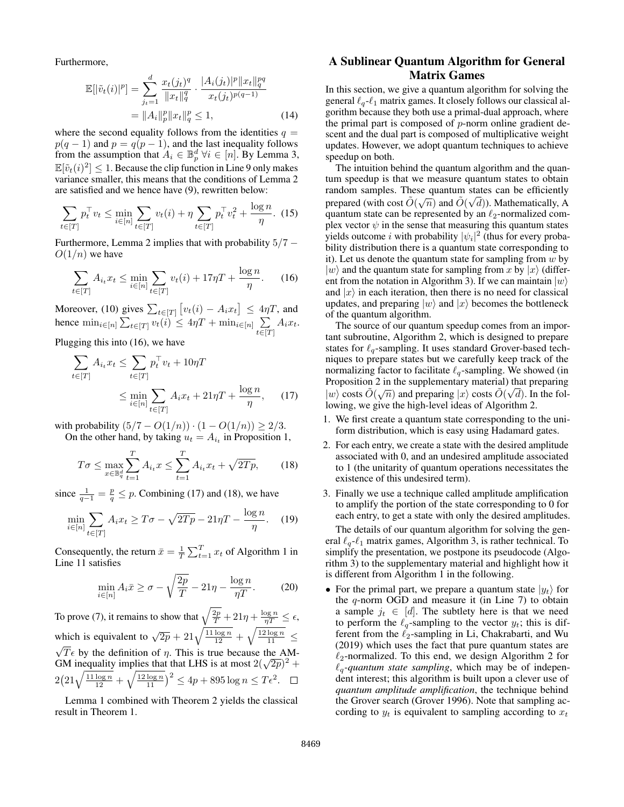Furthermore,

$$
\mathbb{E}[|\tilde{v}_t(i)|^p] = \sum_{j_t=1}^d \frac{x_t(j_t)^q}{\|x_t\|_q^q} \cdot \frac{|A_i(j_t)|^p \|x_t\|_q^{pq}}{x_t(j_t)^{p(q-1)}}
$$
  
=  $||A_i||_p^p \|x_t\|_q^p \le 1,$  (14)

where the second equality follows from the identities  $q =$  $p(q-1)$  and  $p = q(p-1)$ , and the last inequality follows from the assumption that  $A_i \in \mathbb{B}_p^d$   $\forall i \in [n]$ . By [Lemma 3,](#page-3-7)  $\mathbb{E}[\tilde{v}_t(i)^2] \leq 1$ . Because the clip function in [Line 9](#page-3-5) only makes variance smaller, this means that the conditions of [Lemma 2](#page-3-8) are satisfied and we hence have [\(9\)](#page-3-9), rewritten below:

$$
\sum_{t \in [T]} p_t^\top v_t \le \min_{i \in [n]} \sum_{t \in [T]} v_t(i) + \eta \sum_{t \in [T]} p_t^\top v_t^2 + \frac{\log n}{\eta}.
$$
 (15)

Furthermore, [Lemma 2](#page-3-8) implies that with probability  $5/7 O(1/n)$  we have

$$
\sum_{t \in [T]} A_{i_t} x_t \le \min_{i \in [n]} \sum_{t \in [T]} v_t(i) + 17\eta T + \frac{\log n}{\eta}.
$$
 (16)

Moreover, [\(10\)](#page-3-10) gives  $\sum_{t \in [T]} [v_t(i) - A_i x_t] \leq 4\eta T$ , and hence  $\min_{i \in [n]} \sum_{t \in [T]} v_t(i) \leq 4\eta T + \min_{i \in [n]} \sum_{t \in [n]} v_t(i)$  $\sum_{t\in[T]}A_ix_t.$ 

Plugging this into [\(16\)](#page-4-0), we have

$$
\sum_{t \in [T]} A_{i_t} x_t \le \sum_{t \in [T]} p_t^\top v_t + 10\eta T
$$
\n
$$
\le \min_{i \in [n]} \sum_{t \in [T]} A_i x_t + 21\eta T + \frac{\log n}{\eta}, \qquad (17)
$$

with probability  $(5/7 - O(1/n)) \cdot (1 - O(1/n)) \ge 2/3$ . On the other hand, by taking  $u_t = A_{i_t}$  in [Proposition 1,](#page-3-11)

$$
T\sigma \le \max_{x \in \mathbb{B}_q^d} \sum_{t=1}^T A_{i_t} x \le \sum_{t=1}^T A_{i_t} x_t + \sqrt{2Tp},\qquad(18)
$$

since  $\frac{1}{q-1} = \frac{p}{q} \leq p$ . Combining [\(17\)](#page-4-1) and [\(18\)](#page-4-2), we have

$$
\min_{i \in [n]} \sum_{t \in [T]} A_i x_t \ge T\sigma - \sqrt{2Tp} - 21\eta T - \frac{\log n}{\eta}.
$$
 (19)

Consequently, the return  $\bar{x} = \frac{1}{T} \sum_{t=1}^{T} x_t$  of [Algorithm 1](#page-3-2) in [Line 11](#page-3-12) satisfies

$$
\min_{i \in [n]} A_i \bar{x} \ge \sigma - \sqrt{\frac{2p}{T}} - 21\eta - \frac{\log n}{\eta T}.
$$
 (20)

To prove [\(7\)](#page-3-1), it remains to show that  $\sqrt{\frac{2p}{T}} + 21\eta + \frac{\log n}{\eta T} \le \epsilon$ , which is equivalent to  $\sqrt{2p} + 21\sqrt{\frac{11 \log n}{12}} + \sqrt{\frac{12 \log n}{11}} \le$  $\sqrt{T} \epsilon$  by the definition of  $\eta$ . This is true because the AM- $\sqrt{1} \epsilon$  by the definition of  $\eta$ . This is true because the AM-<br>GM inequality implies that that LHS is at most  $2(\sqrt{2p})^2$  +  $2(21\sqrt{\frac{11\log n}{12}} + \sqrt{\frac{12\log n}{11}})^2 \le 4p + 895\log n \le T\epsilon^2$ .

[Lemma 1](#page-2-0) combined with [Theorem 2](#page-3-0) yields the classical result in [Theorem 1.](#page-1-4)

# A Sublinear Quantum Algorithm for General Matrix Games

In this section, we give a quantum algorithm for solving the general  $\ell_q$ - $\ell_1$  matrix games. It closely follows our classical algorithm because they both use a primal-dual approach, where the primal part is composed of  $p$ -norm online gradient descent and the dual part is composed of multiplicative weight updates. However, we adopt quantum techniques to achieve speedup on both.

The intuition behind the quantum algorithm and the quantum speedup is that we measure quantum states to obtain random samples. These quantum states can be efficiently prepared (with cost  $\tilde{O}(\sqrt{n})$  and  $\tilde{O}(\sqrt{d})$ ). Mathematically, A quantum state can be represented by an  $\ell_2$ -normalized complex vector  $\psi$  in the sense that measuring this quantum states yields outcome i with probability  $|\psi_i|^2$  (thus for every probability distribution there is a quantum state corresponding to it). Let us denote the quantum state for sampling from  $w$  by  $|w\rangle$  and the quantum state for sampling from x by  $|x\rangle$  (different from the notation in Algorithm 3). If we can maintain  $|w\rangle$ and  $|x\rangle$  in each iteration, then there is no need for classical updates, and preparing  $|w\rangle$  and  $|x\rangle$  becomes the bottleneck of the quantum algorithm.

<span id="page-4-0"></span>The source of our quantum speedup comes from an important subroutine, [Algorithm 2,](#page-5-2) which is designed to prepare states for  $\ell_q$ -sampling. It uses standard Grover-based techniques to prepare states but we carefully keep track of the normalizing factor to facilitate  $\ell_q$ -sampling. We showed (in Proposition 2 in the supplementary material) that preparing  $|w\rangle$  costs  $\tilde{O}(\sqrt{n})$  and preparing  $|x\rangle$  costs  $\tilde{O}(\sqrt{d})$ . In the following, we give the high-level ideas of [Algorithm 2.](#page-5-2)

- <span id="page-4-1"></span>1. We first create a quantum state corresponding to the uniform distribution, which is easy using Hadamard gates.
- <span id="page-4-2"></span>2. For each entry, we create a state with the desired amplitude associated with 0, and an undesired amplitude associated to 1 (the unitarity of quantum operations necessitates the existence of this undesired term).
- 3. Finally we use a technique called amplitude amplification to amplify the portion of the state corresponding to 0 for each entry, to get a state with only the desired amplitudes.

The details of our quantum algorithm for solving the general  $\ell_q$ - $\ell_1$  matrix games, Algorithm 3, is rather technical. To simplify the presentation, we postpone its pseudocode (Algorithm 3) to the supplementary material and highlight how it is different from [Algorithm 1](#page-3-2) in the following.

• For the primal part, we prepare a quantum state  $|y_t\rangle$  for the  $q$ -norm OGD and measure it (in Line 7) to obtain a sample  $j_t \in [d]$ . The subtlety here is that we need to perform the  $\ell_q$ -sampling to the vector  $y_t$ ; this is different from the  $\ell_2$ -sampling in [Li, Chakrabarti, and Wu](#page-7-10) [\(2019\)](#page-7-10) which uses the fact that pure quantum states are  $\ell_2$ -normalized. To this end, we design [Algorithm 2](#page-5-2) for  $\ell_q$ -quantum state sampling, which may be of independent interest; this algorithm is built upon a clever use of *quantum amplitude amplification*, the technique behind the Grover search [\(Grover 1996\)](#page-7-22). Note that sampling according to  $y_t$  is equivalent to sampling according to  $x_t$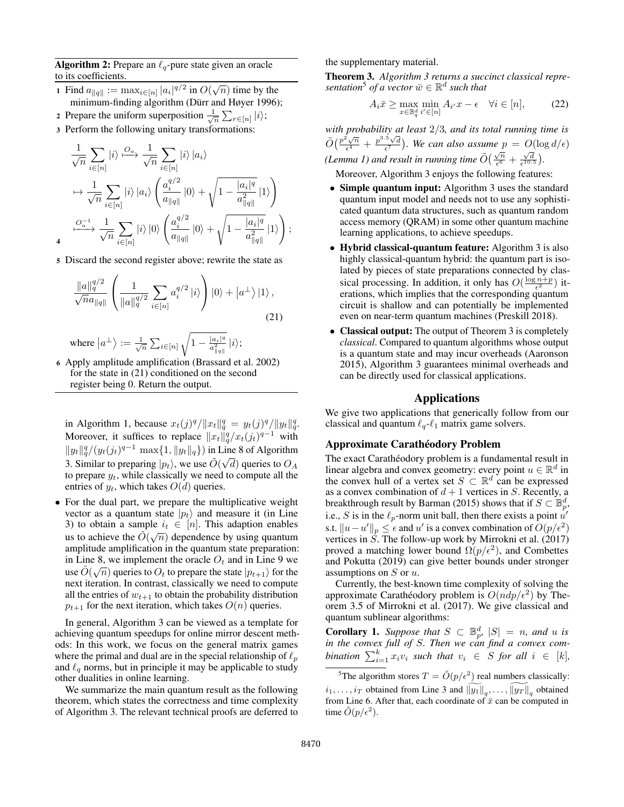**Algorithm 2:** Prepare an  $\ell_q$ -pure state given an oracle to its coefficients.

- 1 Find  $a_{\|q\|} := \max_{i \in [n]} |a_i|^{q/2}$  in  $O(\sqrt{n})$  time by the minimum-finding algorithm [\(Dürr and Høyer 1996\)](#page-7-23);
- 2 Prepare the uniform superposition  $\frac{1}{\sqrt{n}} \sum_{r \in [n]} |i\rangle;$
- <sup>3</sup> Perform the following unitary transformations:

$$
\frac{1}{\sqrt{n}} \sum_{i \in [n]} |i\rangle \stackrel{O_a}{\longrightarrow} \frac{1}{\sqrt{n}} \sum_{i \in [n]} |i\rangle |a_i\rangle
$$
\n
$$
\mapsto \frac{1}{\sqrt{n}} \sum_{i \in [n]} |i\rangle |a_i\rangle \left( \frac{a_i^{q/2}}{a_{\|q\|}} |0\rangle + \sqrt{1 - \frac{|a_i|^q}{a_{\|q\|}^2}} |1\rangle \right)
$$
\n
$$
\xrightarrow{O_a^{-1}} \frac{1}{\sqrt{n}} \sum_{i \in [n]} |i\rangle |0\rangle \left( \frac{a_i^{q/2}}{a_{\|q\|}} |0\rangle + \sqrt{1 - \frac{|a_i|^q}{a_{\|q\|}^2}} |1\rangle \right);
$$

<sup>5</sup> Discard the second register above; rewrite the state as

4

$$
\frac{\|a\|_q^{q/2}}{\sqrt{n}a_{\|q\|}} \left( \frac{1}{\|a\|_q^{q/2}} \sum_{i \in [n]} a_i^{q/2} |i\rangle \right) |0\rangle + |a^{\perp}\rangle |1\rangle ,
$$
\n(21)

where 
$$
\left|a^{\perp}\right\rangle:=\frac{1}{\sqrt{n}}\sum_{i\in[n]}\sqrt{1-\frac{\left|a_{i}\right|^{q}}{a_{\left\Vert q\right\Vert}^{2}}}\left|i\right\rangle;
$$

<sup>6</sup> Apply amplitude amplification [\(Brassard et al. 2002\)](#page-7-24) for the state in [\(21\)](#page-5-3) conditioned on the second register being 0. Return the output.

in [Algorithm 1,](#page-3-2) because  $x_t(j)^q / ||x_t||_q^q = y_t(j)^q / ||y_t||_q^q$ . Moreover, it suffices to replace  $||x_t||_q^q / x_t(j_t)^{q-1}$  with  $\|y_t\|_q^q/(y_t(j_t)^{q-1} \max\{1,\|y_t\|_q\})$  in Line 8 of Algorithm 3. Similar to preparing  $|p_t\rangle$ , we use  $\tilde{O}(\sqrt{d})$  queries to  $O_A$ to prepare  $y_t$ , while classically we need to compute all the entries of  $y_t$ , which takes  $O(d)$  queries.

• For the dual part, we prepare the multiplicative weight vector as a quantum state  $|p_t\rangle$  and measure it (in Line 3) to obtain a sample  $i_t \in [n]$ . This adaption enables us to achieve the  $\tilde{O}(\sqrt{n})$  dependence by using quantum amplitude amplification in the quantum state preparation: in Line 8, we implement the oracle  $O_t$  and in Line 9 we use  $\tilde{O}(\sqrt{n})$  queries to  $O_t$  to prepare the state  $|p_{t+1}\rangle$  for the next iteration. In contrast, classically we need to compute all the entries of  $w_{t+1}$  to obtain the probability distribution  $p_{t+1}$  for the next iteration, which takes  $O(n)$  queries.

In general, Algorithm 3 can be viewed as a template for achieving quantum speedups for online mirror descent methods: In this work, we focus on the general matrix games where the primal and dual are in the special relationship of  $\ell_p$ and  $\ell_q$  norms, but in principle it may be applicable to study other dualities in online learning.

We summarize the main quantum result as the following theorem, which states the correctness and time complexity of Algorithm 3. The relevant technical proofs are deferred to

the supplementary material.

<span id="page-5-0"></span>Theorem 3. *Algorithm 3 returns a succinct classical repre-* $\mathit{sentation}^5$  $\mathit{sentation}^5$  of a vector  $\bar{w} \in \mathbb{R}^d$  such that

$$
A_i \bar{x} \ge \max_{x \in \mathbb{B}_q^d} \min_{i' \in [n]} A_{i'} x - \epsilon \quad \forall i \in [n], \tag{22}
$$

*with probability at least* 2/3*, and its total running time is*  $\tilde{O}\left(\frac{p^2\sqrt{n}}{\epsilon^4}\right)$ probability at least  $2/6$ , and its foldtrunning time is<br>  $\frac{2\sqrt{n}}{\epsilon^4} + \frac{p^{3.5}\sqrt{d}}{\epsilon^7}$ . We can also assume  $p = O(\log d/\epsilon)$  $\frac{e^4}{(Lemma \text{ } I)}$  and result in running time  $\tilde{O}(\frac{\sqrt{n}}{2})$  $\frac{\sqrt{n}}{\epsilon^6} + \frac{\sqrt{d}}{\epsilon^{10.5}}$ .

Moreover, Algorithm 3 enjoys the following features:

- Simple quantum input: Algorithm 3 uses the standard quantum input model and needs not to use any sophisticated quantum data structures, such as quantum random access memory (QRAM) in some other quantum machine learning applications, to achieve speedups.
- Hybrid classical-quantum feature: Algorithm 3 is also highly classical-quantum hybrid: the quantum part is isolated by pieces of state preparations connected by classical processing. In addition, it only has  $O(\frac{\log n+p}{\epsilon^2})$  iterations, which implies that the corresponding quantum circuit is shallow and can potentially be implemented even on near-term quantum machines [\(Preskill 2018\)](#page-8-3).
- <span id="page-5-3"></span>• Classical output: The output of [Theorem 3](#page-5-0) is completely *classical*. Compared to quantum algorithms whose output is a quantum state and may incur overheads [\(Aaronson](#page-7-25) [2015\)](#page-7-25), Algorithm 3 guarantees minimal overheads and can be directly used for classical applications.

## Applications

<span id="page-5-2"></span>We give two applications that generically follow from our classical and quantum  $\ell_q$ - $\ell_1$  matrix game solvers.

### Approximate Carathéodory Problem

The exact Carathéodory problem is a fundamental result in linear algebra and convex geometry: every point  $u \in \mathbb{R}^d$  in the convex hull of a vertex set  $S \subset \mathbb{R}^d$  can be expressed as a convex combination of  $d + 1$  vertices in S. Recently, a breakthrough result by [Barman](#page-7-5) [\(2015\)](#page-7-5) shows that if  $S \subset \mathbb{B}_{p}^{d}$ , i.e., S is in the  $\ell_p$ -norm unit ball, then there exists a point  $\hat{u}'$ s.t.  $||u - u'||_p \leq \epsilon$  and u' is a convex combination of  $O(p/\epsilon^2)$ vertices in S. The follow-up work by [Mirrokni et al.](#page-7-6) [\(2017\)](#page-7-6) proved a matching lower bound  $\Omega(p/\epsilon^2)$ , and [Combettes](#page-7-7) [and Pokutta](#page-7-7) [\(2019\)](#page-7-7) can give better bounds under stronger assumptions on  $S$  or  $u$ .

Currently, the best-known time complexity of solving the approximate Carathéodory problem is  $O(ndp/\epsilon^2)$  by Theorem 3.5 of [Mirrokni et al.](#page-7-6) [\(2017\)](#page-7-6). We give classical and quantum sublinear algorithms:

<span id="page-5-1"></span>**Corollary 1.** *Suppose that*  $S \subset \mathbb{B}_p^d$ ,  $|S| = n$ , and u is *in the convex full of* S*. Then we can find a convex combination*  $\sum_{i=1}^{k} x_i v_i$  *such that*  $v_i \in S$  *for all*  $i \in [k]$ *,* 

<span id="page-5-4"></span><sup>5</sup>The algorithm stores  $T = \tilde{O}(p/\epsilon^2)$  real numbers classically:  $i_1, \ldots, i_T$  obtained from Line 3 and  $\widetilde{\|y_1\|}_q, \ldots, \widetilde{\|y_T\|}_q$  obtained from Line 6. After that, each coordinate of  $\bar{x}$  can be computed in time  $\tilde{O}(p/\epsilon^2)$ .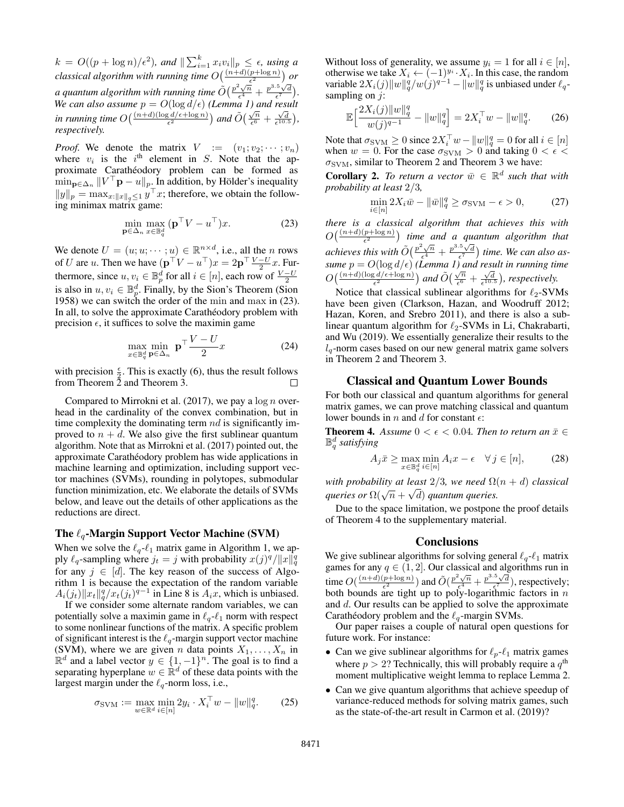$k = O((p + \log n)/\epsilon^2)$ , and  $\|\sum_{i=1}^k x_i v_i\|_p \leq \epsilon$ , using a *classical algorithm with running time*  $O(\frac{(n+d)(p+\log n)}{\epsilon^2})$  or *a quantum algorithm with running time*  $\tilde{O}(\frac{p^2\sqrt{n}}{\epsilon^4})$  $\frac{\epsilon^2}{\epsilon^4} + \frac{p^{3.5}\sqrt{d}}{\epsilon^7}.$ *We can also assume*  $p = O(\log d/\epsilon)$  *[\(Lemma 1\)](#page-2-0) and result in running time*  $O\left(\frac{(n+d)(\log d/\epsilon + \log n)}{\epsilon^2}\right)$  and  $\tilde{O}\left(\frac{\sqrt{n}}{\epsilon^6}\right)$  $\frac{\sqrt{n}}{\epsilon^6} + \frac{\sqrt{d}}{\epsilon^{10.5}}$ ), *respectively.*

*Proof.* We denote the matrix  $V := (v_1; v_2; \dots; v_n)$ where  $v_i$  is the i<sup>th</sup> element in S. Note that the approximate Carathéodory problem can be formed as  $\min_{\mathbf{p}\in\Delta_n} ||V^\top \mathbf{p} - u||_p$ . In addition, by Hölder's inequality  $||y||_p = \max_{x: ||x||_q \leq 1} y^\top x$ ; therefore, we obtain the following minimax matrix game:

$$
\min_{\mathbf{p}\in\Delta_n} \max_{x\in\mathbb{B}_q^d} (\mathbf{p}^\top V - u^\top) x.
$$
 (23)

We denote  $U = (u; u; \dots; u) \in \mathbb{R}^{n \times d}$ , i.e., all the *n* rows of U are u. Then we have  $(\mathbf{p}^\top V - u^\top)x = 2\mathbf{p}^\top \frac{V - U}{2}x$ . Furthermore, since  $u, v_i \in \mathbb{B}_p^d$  for all  $i \in [n]$ , each row of  $\frac{V-U}{2}$ is also in  $u, v_i \in \mathbb{B}_p^d$ . Finally, by the Sion's Theorem [\(Sion](#page-8-4) [1958\)](#page-8-4) we can switch the order of the min and max in [\(23\)](#page-6-2). In all, to solve the approximate Carathéodory problem with precision  $\epsilon$ , it suffices to solve the maximin game

$$
\max_{x \in \mathbb{B}_q^d} \min_{\mathbf{p} \in \Delta_n} \mathbf{p}^\top \frac{V - U}{2} x \tag{24}
$$

with precision  $\frac{\epsilon}{2}$ . This is exactly [\(6\)](#page-3-13), thus the result follows from [Theorem 2](#page-3-0) and [Theorem 3.](#page-5-0) ⊔

Compared to [Mirrokni et al.](#page-7-6) [\(2017\)](#page-7-6), we pay a  $\log n$  overhead in the cardinality of the convex combination, but in time complexity the dominating term  $nd$  is significantly improved to  $n + d$ . We also give the first sublinear quantum algorithm. Note that as [Mirrokni et al.](#page-7-6) [\(2017\)](#page-7-6) pointed out, the approximate Carathéodory problem has wide applications in machine learning and optimization, including support vector machines (SVMs), rounding in polytopes, submodular function minimization, etc. We elaborate the details of SVMs below, and leave out the details of other applications as the reductions are direct.

#### The  $\ell_q$ -Margin Support Vector Machine (SVM)

When we solve the  $\ell_q$ - $\ell_1$  matrix game in [Algorithm 1,](#page-3-2) we apply  $\ell_q$ -sampling where  $j_t = j$  with probability  $x(j)^q / ||x||_q^q$ for any  $j \in [d]$ . The key reason of the success of [Algo](#page-3-2)[rithm 1](#page-3-2) is because the expectation of the random variable  $A_i(j_t) ||x_t||_q^q / x_t(j_t)^{q-1}$  in [Line 8](#page-3-14) is  $A_i x$ , which is unbiased.

If we consider some alternate random variables, we can potentially solve a maximin game in  $\ell_q$ - $\ell_1$  norm with respect to some nonlinear functions of the matrix. A specific problem of significant interest is the  $\ell_q$ -margin support vector machine (SVM), where we are given *n* data points  $X_1, \ldots, X_n$  in  $\mathbb{R}^d$  and a label vector  $y \in \{1, -1\}^n$ . The goal is to find a separating hyperplane  $w \in \mathbb{R}^d$  of these data points with the largest margin under the  $\ell_q$ -norm loss, i.e.,

$$
\sigma_{\text{SVM}} := \max_{w \in \mathbb{R}^d} \min_{i \in [n]} 2y_i \cdot X_i^{\top} w - ||w||_q^q. \tag{25}
$$

Without loss of generality, we assume  $y_i = 1$  for all  $i \in [n]$ , otherwise we take  $X_i \leftarrow (-1)^{y_i} \cdot X_i$ . In this case, the random variable  $2X_i(j) \|w\|_q^q/w(j)^{q-1} - \|w\|_q^q$  is unbiased under  $\ell_q$ sampling on  $j$ :

$$
\mathbb{E}\Big[\frac{2X_i(j)\|w\|_q^q}{w(j)^{q-1}} - \|w\|_q^q\Big] = 2X_i^\top w - \|w\|_q^q. \tag{26}
$$

Note that  $\sigma_{\rm SVM} \ge 0$  since  $2X_i^\top w - \|w\|_q^q = 0$  for all  $i \in [n]$ when  $w = 0$ . For the case  $\sigma_{\text{SVM}} > 0$  and taking  $0 < \epsilon$  $\sigma_{\text{SVM}}$ , similar to [Theorem 2](#page-3-0) and [Theorem 3](#page-5-0) we have:

<span id="page-6-1"></span>**Corollary 2.** To return a vector  $\bar{w} \in \mathbb{R}^d$  such that with *probability at least* 2/3*,*

$$
\min_{i \in [n]} 2X_i \bar{w} - \|\bar{w}\|_q^q \ge \sigma_{\text{SVM}} - \epsilon > 0,\tag{27}
$$

<span id="page-6-2"></span>*there is a classical algorithm that achieves this with*  $O(\frac{(n+d)(p+\log n)}{\epsilon^2})$  time and a quantum algorithm that  $\frac{e^2}{\pi}$  achieves this with  $\tilde{O}(\frac{p^2\sqrt{n}}{\epsilon^4})$  $\frac{d^2\sqrt{n}}{\epsilon^4} + \frac{p^{3.5}\sqrt{d}}{\epsilon^7}$  time. We can also as*sume*  $p = O(\log d/\epsilon)$  [\(Lemma 1\)](#page-2-0) and result in running time  $O\left(\frac{(n+d)(\log d/\epsilon + \log n)}{\epsilon^2}\right)$  and  $\tilde{O}\left(\frac{\sqrt{n}}{\epsilon^6}\right)$  $\frac{\sqrt{n}}{\epsilon^6} + \frac{\sqrt{d}}{\epsilon^{10.5}}$ ), respectively.

Notice that classical sublinear algorithms for  $\ell_2$ -SVMs have been given [\(Clarkson, Hazan, and Woodruff 2012;](#page-7-4) [Hazan, Koren, and Srebro 2011\)](#page-7-17), and there is also a sublinear quantum algorithm for  $\ell_2$ -SVMs in [Li, Chakrabarti,](#page-7-10) [and Wu](#page-7-10) [\(2019\)](#page-7-10). We essentially generalize their results to the  $l_q$ -norm cases based on our new general matrix game solvers in [Theorem 2](#page-3-0) and [Theorem 3.](#page-5-0)

#### Classical and Quantum Lower Bounds

For both our classical and quantum algorithms for general matrix games, we can prove matching classical and quantum lower bounds in  $n$  and  $d$  for constant  $\epsilon$ :

<span id="page-6-0"></span>**Theorem 4.** Assume  $0 < \epsilon < 0.04$ . Then to return an  $\bar{x} \in$ B d q *satisfying*

$$
A_j \bar{x} \ge \max_{x \in \mathbb{B}_q^d} \min_{i \in [n]} A_i x - \epsilon \quad \forall j \in [n], \tag{28}
$$

*with probability at least*  $2/3$ *, we need*  $\Omega(n+d)$  *classical gueries or*  $\Omega(\sqrt{n} + \sqrt{d})$  *quantum queries.* 

Due to the space limitation, we postpone the proof details of [Theorem 4](#page-6-0) to the supplementary material.

#### **Conclusions**

We give sublinear algorithms for solving general  $\ell_q$ - $\ell_1$  matrix games for any  $q \in (1, 2]$ . Our classical and algorithms run in time  $O(\frac{(n+d)(p+\log n)}{\epsilon^2})$  $\left(\frac{p+\log n}{\epsilon^2}\right)$  and  $\tilde{O}\left(\frac{p^2\sqrt{n}}{\epsilon^4}\right)$  $\frac{\sqrt[2]{n}}{\epsilon^4} + \frac{p^{3.5}\sqrt{d}}{\epsilon^7}$ , respectively; both bounds are tight up to poly-logarithmic factors in  $n$ and d. Our results can be applied to solve the approximate Carathéodory problem and the  $\ell_q$ -margin SVMs.

Our paper raises a couple of natural open questions for future work. For instance:

- Can we give sublinear algorithms for  $\ell_p-\ell_1$  matrix games where  $p > 2$ ? Technically, this will probably require a  $q^{\text{th}}$ moment multiplicative weight lemma to replace [Lemma 2.](#page-3-8)
- Can we give quantum algorithms that achieve speedup of variance-reduced methods for solving matrix games, such as the state-of-the-art result in [Carmon et al.](#page-7-20) [\(2019\)](#page-7-20)?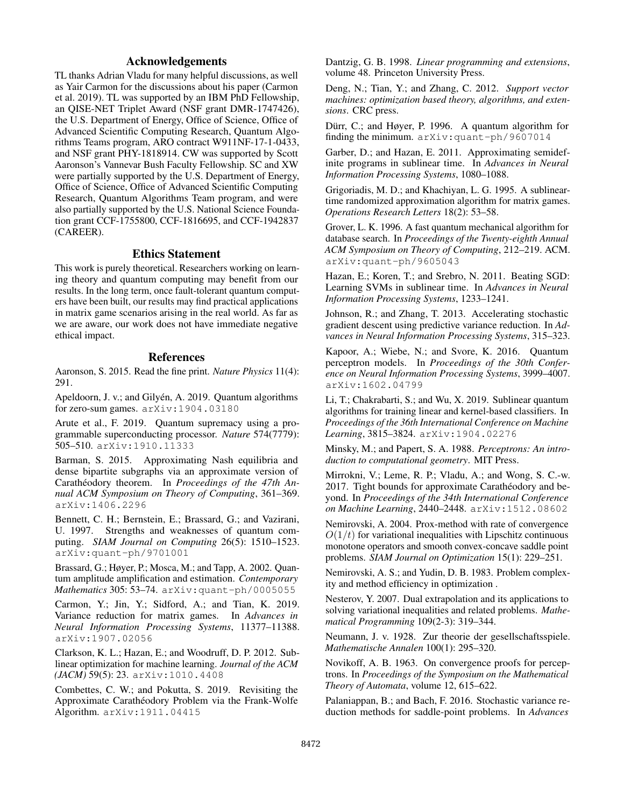## Acknowledgements

TL thanks Adrian Vladu for many helpful discussions, as well as Yair Carmon for the discussions about his paper [\(Carmon](#page-7-20) [et al. 2019\)](#page-7-20). TL was supported by an IBM PhD Fellowship, an QISE-NET Triplet Award (NSF grant DMR-1747426), the U.S. Department of Energy, Office of Science, Office of Advanced Scientific Computing Research, Quantum Algorithms Teams program, ARO contract W911NF-17-1-0433, and NSF grant PHY-1818914. CW was supported by Scott Aaronson's Vannevar Bush Faculty Fellowship. SC and XW were partially supported by the U.S. Department of Energy, Office of Science, Office of Advanced Scientific Computing Research, Quantum Algorithms Team program, and were also partially supported by the U.S. National Science Foundation grant CCF-1755800, CCF-1816695, and CCF-1942837 (CAREER).

## Ethics Statement

This work is purely theoretical. Researchers working on learning theory and quantum computing may benefit from our results. In the long term, once fault-tolerant quantum computers have been built, our results may find practical applications in matrix game scenarios arising in the real world. As far as we are aware, our work does not have immediate negative ethical impact.

## References

<span id="page-7-25"></span>Aaronson, S. 2015. Read the fine print. *Nature Physics* 11(4): 291.

<span id="page-7-11"></span>Apeldoorn, J. v.; and Gilyén, A. 2019. Quantum algorithms for zero-sum games. [arXiv:1904.03180](https://arxiv.org/abs/1904.03180)

<span id="page-7-9"></span>Arute et al., F. 2019. Quantum supremacy using a programmable superconducting processor. *Nature* 574(7779): 505–510. [arXiv:1910.11333](https://arxiv.org/abs/1910.11333)

<span id="page-7-5"></span>Barman, S. 2015. Approximating Nash equilibria and dense bipartite subgraphs via an approximate version of Carathéodory theorem. In *Proceedings of the 47th Annual ACM Symposium on Theory of Computing*, 361–369. [arXiv:1406.2296](https://arxiv.org/abs/1406.2296)

Bennett, C. H.; Bernstein, E.; Brassard, G.; and Vazirani, U. 1997. Strengths and weaknesses of quantum computing. *SIAM Journal on Computing* 26(5): 1510–1523. [arXiv:quant-ph/9701001](https://arxiv.org/abs/quant-ph/9701001)

<span id="page-7-24"></span>Brassard, G.; Høyer, P.; Mosca, M.; and Tapp, A. 2002. Quantum amplitude amplification and estimation. *Contemporary Mathematics* 305: 53–74. [arXiv:quant-ph/0005055](https://arxiv.org/abs/quant-ph/0005055)

<span id="page-7-20"></span>Carmon, Y.; Jin, Y.; Sidford, A.; and Tian, K. 2019. Variance reduction for matrix games. In *Advances in Neural Information Processing Systems*, 11377–11388. [arXiv:1907.02056](https://arxiv.org/abs/1907.02056)

<span id="page-7-4"></span>Clarkson, K. L.; Hazan, E.; and Woodruff, D. P. 2012. Sublinear optimization for machine learning. *Journal of the ACM (JACM)* 59(5): 23. [arXiv:1010.4408](https://arxiv.org/abs/1010.4408)

<span id="page-7-7"></span>Combettes, C. W.; and Pokutta, S. 2019. Revisiting the Approximate Carathéodory Problem via the Frank-Wolfe Algorithm. [arXiv:1911.04415](https://arxiv.org/abs/1911.04415)

<span id="page-7-0"></span>Dantzig, G. B. 1998. *Linear programming and extensions*, volume 48. Princeton University Press.

<span id="page-7-8"></span>Deng, N.; Tian, Y.; and Zhang, C. 2012. *Support vector machines: optimization based theory, algorithms, and extensions*. CRC press.

<span id="page-7-23"></span>Dürr, C.; and Høyer, P. 1996. A quantum algorithm for finding the minimum. [arXiv:quant-ph/9607014](https://arxiv.org/abs/quant-ph/9607014)

<span id="page-7-16"></span>Garber, D.; and Hazan, E. 2011. Approximating semidefinite programs in sublinear time. In *Advances in Neural Information Processing Systems*, 1080–1088.

<span id="page-7-3"></span>Grigoriadis, M. D.; and Khachiyan, L. G. 1995. A sublineartime randomized approximation algorithm for matrix games. *Operations Research Letters* 18(2): 53–58.

<span id="page-7-22"></span>Grover, L. K. 1996. A fast quantum mechanical algorithm for database search. In *Proceedings of the Twenty-eighth Annual ACM Symposium on Theory of Computing*, 212–219. ACM. [arXiv:quant-ph/9605043](https://arxiv.org/abs/quant-ph/9605043)

<span id="page-7-17"></span>Hazan, E.; Koren, T.; and Srebro, N. 2011. Beating SGD: Learning SVMs in sublinear time. In *Advances in Neural Information Processing Systems*, 1233–1241.

<span id="page-7-19"></span>Johnson, R.; and Zhang, T. 2013. Accelerating stochastic gradient descent using predictive variance reduction. In *Advances in Neural Information Processing Systems*, 315–323.

<span id="page-7-21"></span>Kapoor, A.; Wiebe, N.; and Svore, K. 2016. Quantum perceptron models. In *Proceedings of the 30th Conference on Neural Information Processing Systems*, 3999–4007. [arXiv:1602.04799](https://arxiv.org/abs/1602.04799)

<span id="page-7-10"></span>Li, T.; Chakrabarti, S.; and Wu, X. 2019. Sublinear quantum algorithms for training linear and kernel-based classifiers. In *Proceedings of the 36th International Conference on Machine Learning*, 3815–3824. [arXiv:1904.02276](https://arxiv.org/abs/1904.02276)

<span id="page-7-2"></span>Minsky, M.; and Papert, S. A. 1988. *Perceptrons: An introduction to computational geometry*. MIT Press.

<span id="page-7-6"></span>Mirrokni, V.; Leme, R. P.; Vladu, A.; and Wong, S. C.-w. 2017. Tight bounds for approximate Carathéodory and beyond. In *Proceedings of the 34th International Conference on Machine Learning*, 2440–2448. [arXiv:1512.08602](https://arxiv.org/abs/1512.08602)

<span id="page-7-14"></span>Nemirovski, A. 2004. Prox-method with rate of convergence  $O(1/t)$  for variational inequalities with Lipschitz continuous monotone operators and smooth convex-concave saddle point problems. *SIAM Journal on Optimization* 15(1): 229–251.

<span id="page-7-13"></span>Nemirovski, A. S.; and Yudin, D. B. 1983. Problem complexity and method efficiency in optimization .

<span id="page-7-15"></span>Nesterov, Y. 2007. Dual extrapolation and its applications to solving variational inequalities and related problems. *Mathematical Programming* 109(2-3): 319–344.

<span id="page-7-12"></span>Neumann, J. v. 1928. Zur theorie der gesellschaftsspiele. *Mathematische Annalen* 100(1): 295–320.

<span id="page-7-1"></span>Novikoff, A. B. 1963. On convergence proofs for perceptrons. In *Proceedings of the Symposium on the Mathematical Theory of Automata*, volume 12, 615–622.

<span id="page-7-18"></span>Palaniappan, B.; and Bach, F. 2016. Stochastic variance reduction methods for saddle-point problems. In *Advances*